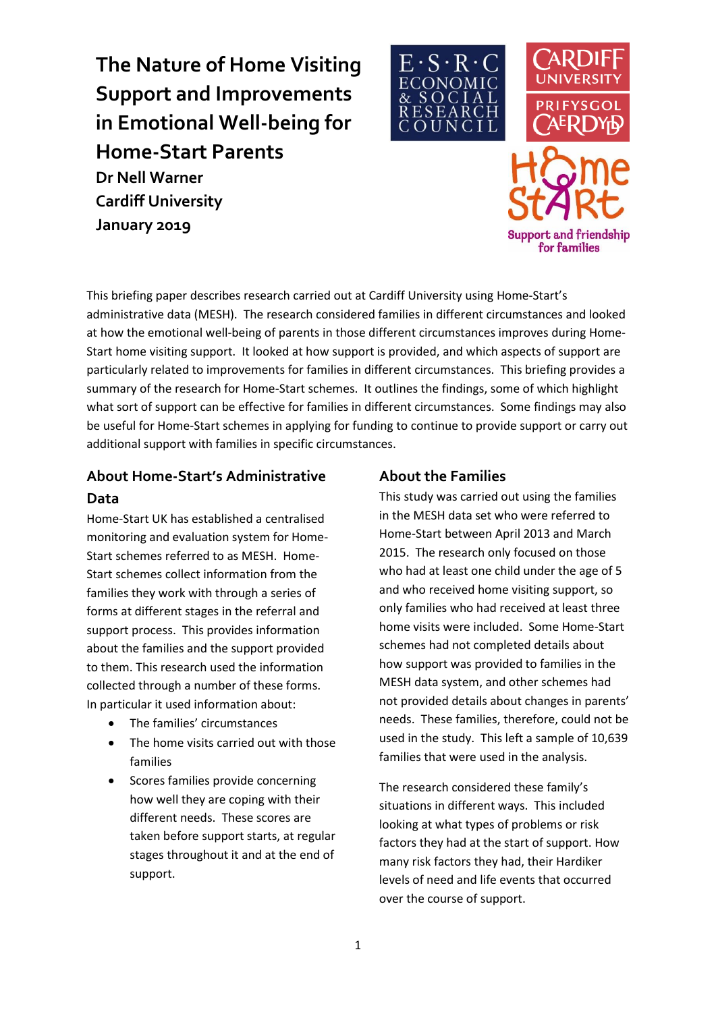**The Nature of Home Visiting Support and Improvements in Emotional Well-being for Home-Start Parents Dr Nell Warner Cardiff University January 2019**





This briefing paper describes research carried out at Cardiff University using Home-Start's administrative data (MESH). The research considered families in different circumstances and looked at how the emotional well-being of parents in those different circumstances improves during Home-Start home visiting support. It looked at how support is provided, and which aspects of support are particularly related to improvements for families in different circumstances. This briefing provides a summary of the research for Home-Start schemes. It outlines the findings, some of which highlight what sort of support can be effective for families in different circumstances. Some findings may also be useful for Home-Start schemes in applying for funding to continue to provide support or carry out additional support with families in specific circumstances.

## **About Home-Start's Administrative Data**

Home-Start UK has established a centralised monitoring and evaluation system for Home-Start schemes referred to as MESH. Home-Start schemes collect information from the families they work with through a series of forms at different stages in the referral and support process. This provides information about the families and the support provided to them. This research used the information collected through a number of these forms. In particular it used information about:

- The families' circumstances
- The home visits carried out with those families
- Scores families provide concerning how well they are coping with their different needs. These scores are taken before support starts, at regular stages throughout it and at the end of support.

### **About the Families**

This study was carried out using the families in the MESH data set who were referred to Home-Start between April 2013 and March 2015. The research only focused on those who had at least one child under the age of 5 and who received home visiting support, so only families who had received at least three home visits were included. Some Home-Start schemes had not completed details about how support was provided to families in the MESH data system, and other schemes had not provided details about changes in parents' needs. These families, therefore, could not be used in the study. This left a sample of 10,639 families that were used in the analysis.

The research considered these family's situations in different ways. This included looking at what types of problems or risk factors they had at the start of support. How many risk factors they had, their Hardiker levels of need and life events that occurred over the course of support.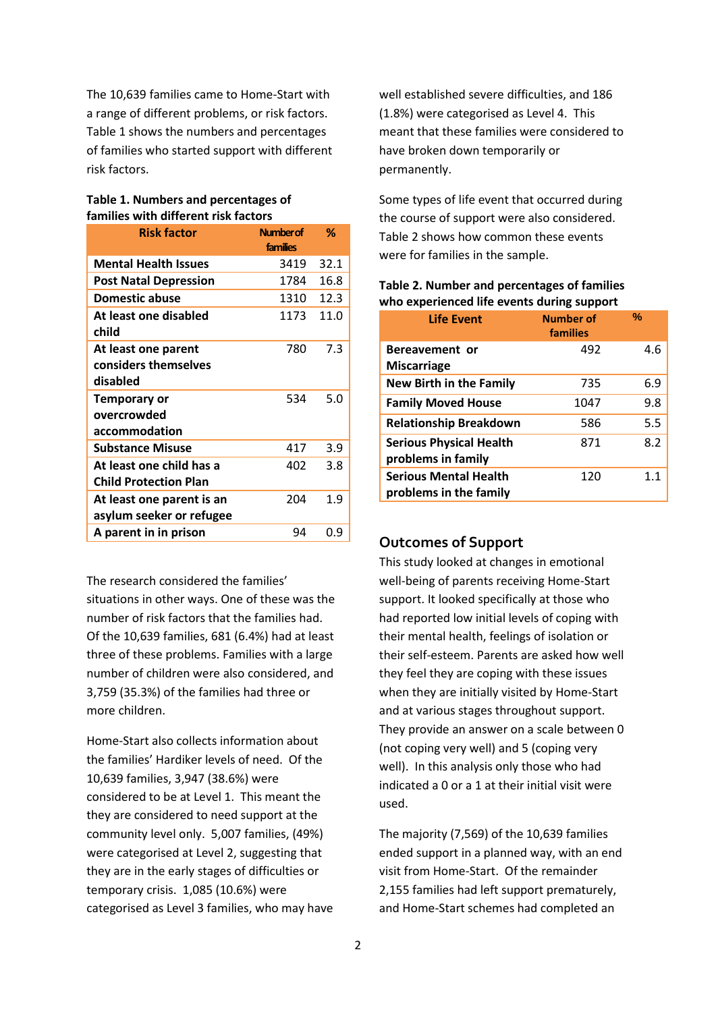The 10,639 families came to Home-Start with a range of different problems, or risk factors. Table 1 shows the numbers and percentages of families who started support with different risk factors.

#### **Table 1. Numbers and percentages of families with different risk factors**

| <b>Risk factor</b>                                       | <b>Number of</b> | %    |
|----------------------------------------------------------|------------------|------|
|                                                          | families         |      |
| <b>Mental Health Issues</b>                              | 3419             | 32.1 |
| <b>Post Natal Depression</b>                             | 1784             | 16.8 |
| <b>Domestic abuse</b>                                    | 1310             | 12.3 |
| At least one disabled<br>child                           | 1173             | 11.0 |
| At least one parent<br>considers themselves<br>disabled  | 780              | 7.3  |
| Temporary or<br>overcrowded<br>accommodation             | 534              | 5.0  |
| <b>Substance Misuse</b>                                  | 417              | 3.9  |
| At least one child has a<br><b>Child Protection Plan</b> | 402              | 3.8  |
| At least one parent is an<br>asylum seeker or refugee    | 204              | 1.9  |
| A parent in in prison                                    | 94               | 0.9  |

The research considered the families'

situations in other ways. One of these was the number of risk factors that the families had. Of the 10,639 families, 681 (6.4%) had at least three of these problems. Families with a large number of children were also considered, and 3,759 (35.3%) of the families had three or more children.

Home-Start also collects information about the families' Hardiker levels of need. Of the 10,639 families, 3,947 (38.6%) were considered to be at Level 1. This meant the they are considered to need support at the community level only. 5,007 families, (49%) were categorised at Level 2, suggesting that they are in the early stages of difficulties or temporary crisis. 1,085 (10.6%) were categorised as Level 3 families, who may have well established severe difficulties, and 186 (1.8%) were categorised as Level 4. This meant that these families were considered to have broken down temporarily or permanently.

Some types of life event that occurred during the course of support were also considered. Table 2 shows how common these events were for families in the sample.

| <b>Life Event</b>                                      | <b>Number of</b><br>families | %   |
|--------------------------------------------------------|------------------------------|-----|
| Bereavement or                                         | 492                          | 4.6 |
| <b>Miscarriage</b>                                     |                              |     |
| <b>New Birth in the Family</b>                         | 735                          | 6.9 |
| <b>Family Moved House</b>                              | 1047                         | 9.8 |
| <b>Relationship Breakdown</b>                          | 586                          | 5.5 |
| <b>Serious Physical Health</b><br>problems in family   | 871                          | 8.2 |
| <b>Serious Mental Health</b><br>problems in the family | 120                          | 1.1 |

### **Table 2. Number and percentages of families who experienced life events during support**

### **Outcomes of Support**

This study looked at changes in emotional well-being of parents receiving Home-Start support. It looked specifically at those who had reported low initial levels of coping with their mental health, feelings of isolation or their self-esteem. Parents are asked how well they feel they are coping with these issues when they are initially visited by Home-Start and at various stages throughout support. They provide an answer on a scale between 0 (not coping very well) and 5 (coping very well). In this analysis only those who had indicated a 0 or a 1 at their initial visit were used.

The majority (7,569) of the 10,639 families ended support in a planned way, with an end visit from Home-Start. Of the remainder 2,155 families had left support prematurely, and Home-Start schemes had completed an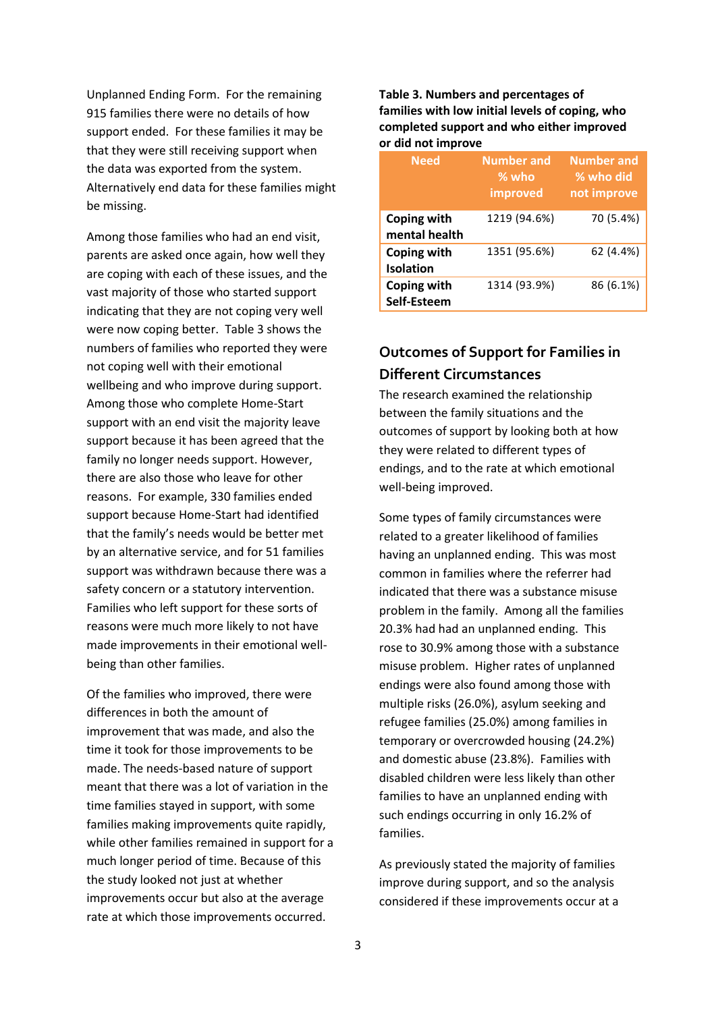Unplanned Ending Form. For the remaining 915 families there were no details of how support ended. For these families it may be that they were still receiving support when the data was exported from the system. Alternatively end data for these families might be missing.

Among those families who had an end visit, parents are asked once again, how well they are coping with each of these issues, and the vast majority of those who started support indicating that they are not coping very well were now coping better. Table 3 shows the numbers of families who reported they were not coping well with their emotional wellbeing and who improve during support. Among those who complete Home-Start support with an end visit the majority leave support because it has been agreed that the family no longer needs support. However, there are also those who leave for other reasons. For example, 330 families ended support because Home-Start had identified that the family's needs would be better met by an alternative service, and for 51 families support was withdrawn because there was a safety concern or a statutory intervention. Families who left support for these sorts of reasons were much more likely to not have made improvements in their emotional wellbeing than other families.

Of the families who improved, there were differences in both the amount of improvement that was made, and also the time it took for those improvements to be made. The needs-based nature of support meant that there was a lot of variation in the time families stayed in support, with some families making improvements quite rapidly, while other families remained in support for a much longer period of time. Because of this the study looked not just at whether improvements occur but also at the average rate at which those improvements occurred.

#### **Table 3. Numbers and percentages of families with low initial levels of coping, who completed support and who either improved or did not improve**

| <b>Need</b>                     | <b>Number and</b><br>$%$ who<br>improved | <b>Number and</b><br>% who did<br>not improve |
|---------------------------------|------------------------------------------|-----------------------------------------------|
| Coping with<br>mental health    | 1219 (94.6%)                             | 70 (5.4%)                                     |
| Coping with<br><b>Isolation</b> | 1351 (95.6%)                             | 62 (4.4%)                                     |
| Coping with<br>Self-Esteem      | 1314 (93.9%)                             | 86 (6.1%)                                     |

## **Outcomes of Support for Families in Different Circumstances**

The research examined the relationship between the family situations and the outcomes of support by looking both at how they were related to different types of endings, and to the rate at which emotional well-being improved.

Some types of family circumstances were related to a greater likelihood of families having an unplanned ending. This was most common in families where the referrer had indicated that there was a substance misuse problem in the family. Among all the families 20.3% had had an unplanned ending. This rose to 30.9% among those with a substance misuse problem. Higher rates of unplanned endings were also found among those with multiple risks (26.0%), asylum seeking and refugee families (25.0%) among families in temporary or overcrowded housing (24.2%) and domestic abuse (23.8%). Families with disabled children were less likely than other families to have an unplanned ending with such endings occurring in only 16.2% of families.

As previously stated the majority of families improve during support, and so the analysis considered if these improvements occur at a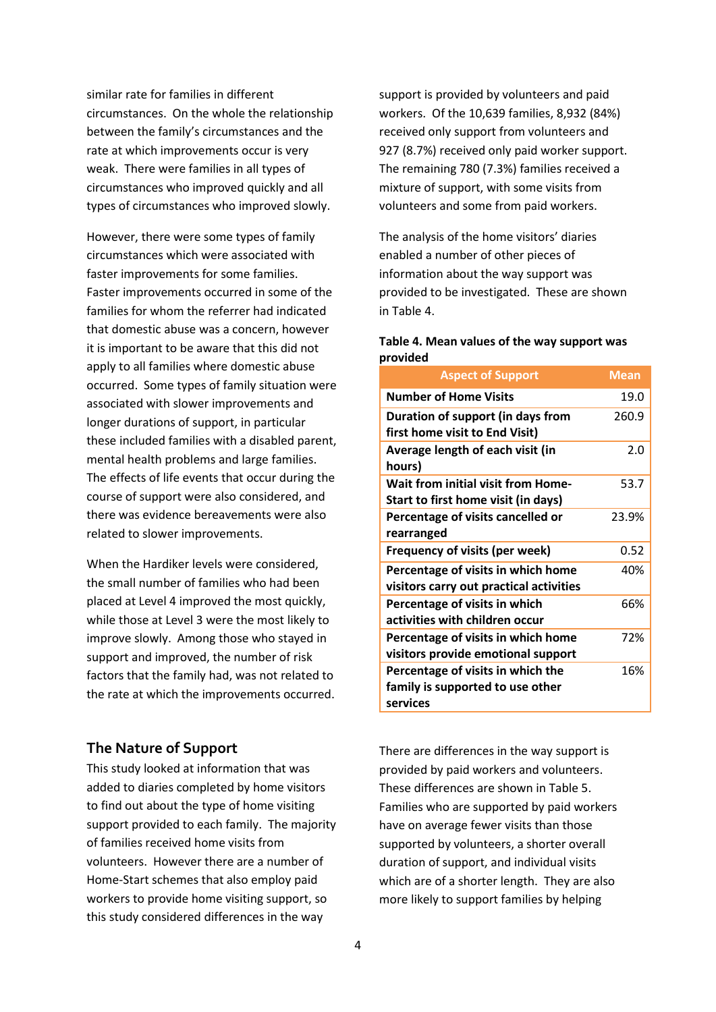similar rate for families in different circumstances. On the whole the relationship between the family's circumstances and the rate at which improvements occur is very weak. There were families in all types of circumstances who improved quickly and all types of circumstances who improved slowly.

However, there were some types of family circumstances which were associated with faster improvements for some families. Faster improvements occurred in some of the families for whom the referrer had indicated that domestic abuse was a concern, however it is important to be aware that this did not apply to all families where domestic abuse occurred. Some types of family situation were associated with slower improvements and longer durations of support, in particular these included families with a disabled parent, mental health problems and large families. The effects of life events that occur during the course of support were also considered, and there was evidence bereavements were also related to slower improvements.

When the Hardiker levels were considered, the small number of families who had been placed at Level 4 improved the most quickly, while those at Level 3 were the most likely to improve slowly. Among those who stayed in support and improved, the number of risk factors that the family had, was not related to the rate at which the improvements occurred.

#### **The Nature of Support**

This study looked at information that was added to diaries completed by home visitors to find out about the type of home visiting support provided to each family. The majority of families received home visits from volunteers. However there are a number of Home-Start schemes that also employ paid workers to provide home visiting support, so this study considered differences in the way

support is provided by volunteers and paid workers. Of the 10,639 families, 8,932 (84%) received only support from volunteers and 927 (8.7%) received only paid worker support. The remaining 780 (7.3%) families received a mixture of support, with some visits from volunteers and some from paid workers.

The analysis of the home visitors' diaries enabled a number of other pieces of information about the way support was provided to be investigated. These are shown in Table 4.

#### **Table 4. Mean values of the way support was provided**

| <b>Aspect of Support</b>                                                          | Mean  |
|-----------------------------------------------------------------------------------|-------|
| <b>Number of Home Visits</b>                                                      | 19.0  |
| Duration of support (in days from<br>first home visit to End Visit)               | 260.9 |
| Average length of each visit (in<br>hours)                                        | 2.0   |
| <b>Wait from initial visit from Home-</b><br>Start to first home visit (in days)  | 53.7  |
| Percentage of visits cancelled or<br>rearranged                                   | 23.9% |
| Frequency of visits (per week)                                                    | 0.52  |
| Percentage of visits in which home<br>visitors carry out practical activities     | 40%   |
| Percentage of visits in which<br>activities with children occur                   | 66%   |
| Percentage of visits in which home<br>visitors provide emotional support          | 72%   |
| Percentage of visits in which the<br>family is supported to use other<br>services | 16%   |

There are differences in the way support is provided by paid workers and volunteers. These differences are shown in Table 5. Families who are supported by paid workers have on average fewer visits than those supported by volunteers, a shorter overall duration of support, and individual visits which are of a shorter length. They are also more likely to support families by helping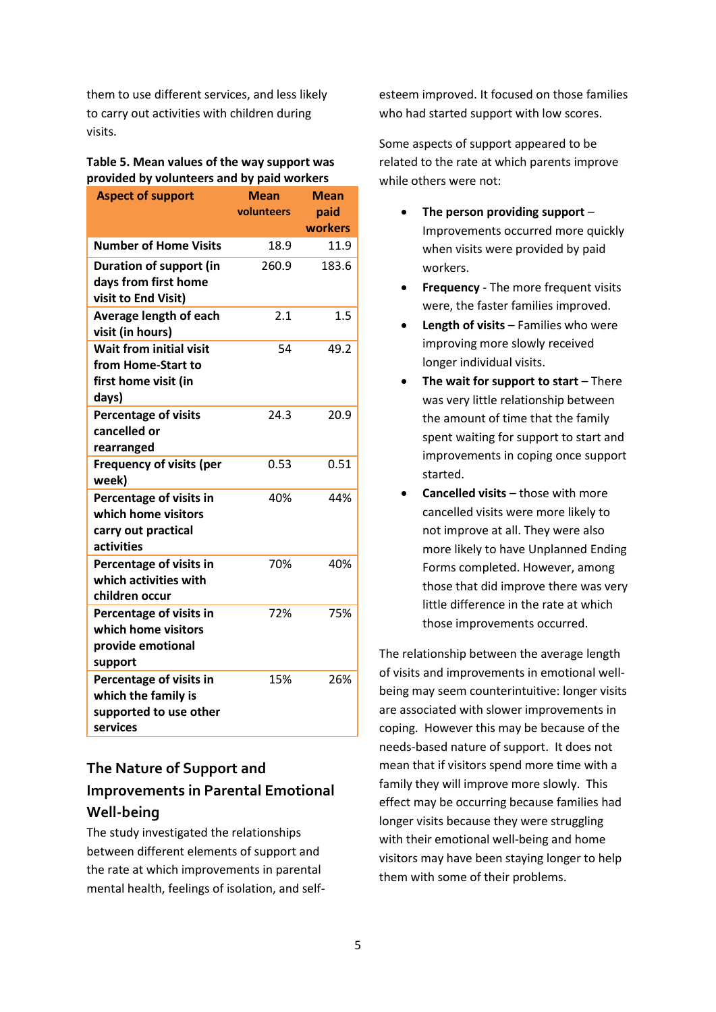them to use different services, and less likely to carry out activities with children during visits.

#### **Table 5. Mean values of the way support was provided by volunteers and by paid workers**

| <b>Aspect of support</b>                                                              | Mean<br>volunteers | <b>Mean</b><br>paid<br>workers |
|---------------------------------------------------------------------------------------|--------------------|--------------------------------|
| <b>Number of Home Visits</b>                                                          | 18.9               | 11.9                           |
| Duration of support (in<br>days from first home<br>visit to End Visit)                | 260.9              | 183.6                          |
| Average length of each<br>visit (in hours)                                            | 2.1                | 1.5                            |
| <b>Wait from initial visit</b><br>from Home-Start to<br>first home visit (in<br>days) | 54                 | 49.2                           |
| Percentage of visits<br>cancelled or<br>rearranged                                    | 24.3               | 20.9                           |
| <b>Frequency of visits (per</b><br>week)                                              | 0.53               | 0.51                           |
| Percentage of visits in<br>which home visitors<br>carry out practical<br>activities   | 40%                | 44%                            |
| Percentage of visits in<br>which activities with<br>children occur                    | 70%                | 40%                            |
| Percentage of visits in<br>which home visitors<br>provide emotional<br>support        | 72%                | 75%                            |
| Percentage of visits in<br>which the family is<br>supported to use other<br>services  | 15%                | 26%                            |

# **The Nature of Support and Improvements in Parental Emotional Well-being**

The study investigated the relationships between different elements of support and the rate at which improvements in parental mental health, feelings of isolation, and selfesteem improved. It focused on those families who had started support with low scores.

Some aspects of support appeared to be related to the rate at which parents improve while others were not:

- **The person providing support** Improvements occurred more quickly when visits were provided by paid workers.
- **Frequency** The more frequent visits were, the faster families improved.
- **Length of visits** Families who were improving more slowly received longer individual visits.
- **The wait for support to start** There was very little relationship between the amount of time that the family spent waiting for support to start and improvements in coping once support started.
- **Cancelled visits** those with more cancelled visits were more likely to not improve at all. They were also more likely to have Unplanned Ending Forms completed. However, among those that did improve there was very little difference in the rate at which those improvements occurred.

The relationship between the average length of visits and improvements in emotional wellbeing may seem counterintuitive: longer visits are associated with slower improvements in coping. However this may be because of the needs-based nature of support. It does not mean that if visitors spend more time with a family they will improve more slowly. This effect may be occurring because families had longer visits because they were struggling with their emotional well-being and home visitors may have been staying longer to help them with some of their problems.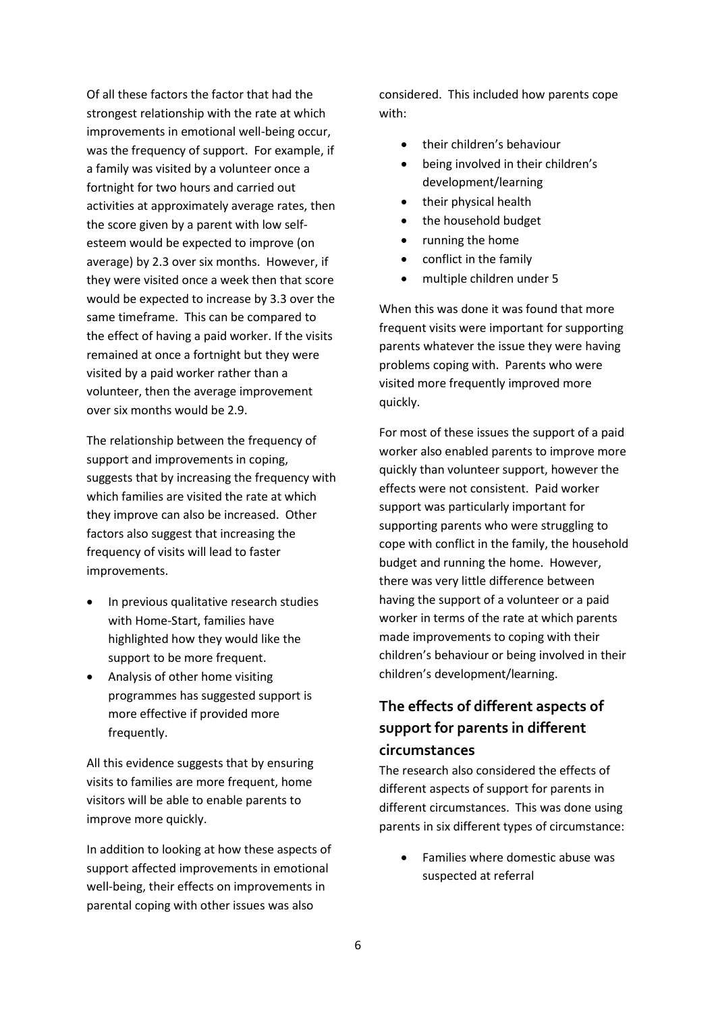Of all these factors the factor that had the strongest relationship with the rate at which improvements in emotional well-being occur, was the frequency of support. For example, if a family was visited by a volunteer once a fortnight for two hours and carried out activities at approximately average rates, then the score given by a parent with low selfesteem would be expected to improve (on average) by 2.3 over six months. However, if they were visited once a week then that score would be expected to increase by 3.3 over the same timeframe. This can be compared to the effect of having a paid worker. If the visits remained at once a fortnight but they were visited by a paid worker rather than a volunteer, then the average improvement over six months would be 2.9.

The relationship between the frequency of support and improvements in coping, suggests that by increasing the frequency with which families are visited the rate at which they improve can also be increased. Other factors also suggest that increasing the frequency of visits will lead to faster improvements.

- In previous qualitative research studies with Home-Start, families have highlighted how they would like the support to be more frequent.
- Analysis of other home visiting programmes has suggested support is more effective if provided more frequently.

All this evidence suggests that by ensuring visits to families are more frequent, home visitors will be able to enable parents to improve more quickly.

In addition to looking at how these aspects of support affected improvements in emotional well-being, their effects on improvements in parental coping with other issues was also

considered. This included how parents cope with:

- their children's behaviour
- being involved in their children's development/learning
- their physical health
- the household budget
- running the home
- conflict in the family
- multiple children under 5

When this was done it was found that more frequent visits were important for supporting parents whatever the issue they were having problems coping with. Parents who were visited more frequently improved more quickly.

For most of these issues the support of a paid worker also enabled parents to improve more quickly than volunteer support, however the effects were not consistent. Paid worker support was particularly important for supporting parents who were struggling to cope with conflict in the family, the household budget and running the home. However, there was very little difference between having the support of a volunteer or a paid worker in terms of the rate at which parents made improvements to coping with their children's behaviour or being involved in their children's development/learning.

# **The effects of different aspects of support for parents in different circumstances**

The research also considered the effects of different aspects of support for parents in different circumstances. This was done using parents in six different types of circumstance:

 Families where domestic abuse was suspected at referral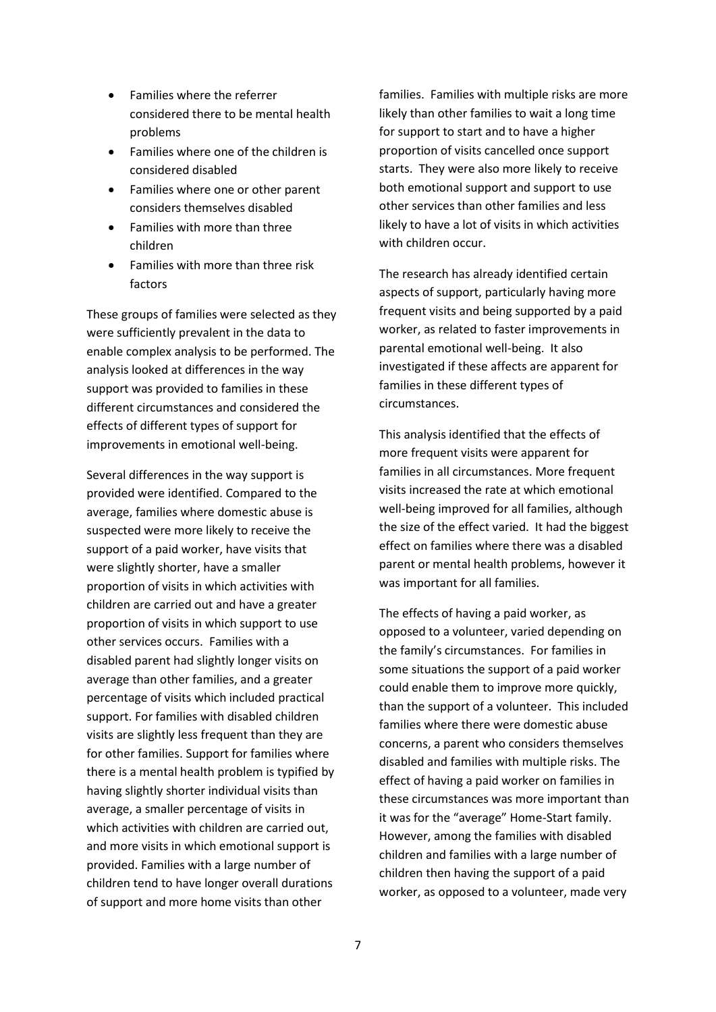- Families where the referrer considered there to be mental health problems
- Families where one of the children is considered disabled
- Families where one or other parent considers themselves disabled
- Families with more than three children
- Families with more than three risk factors

These groups of families were selected as they were sufficiently prevalent in the data to enable complex analysis to be performed. The analysis looked at differences in the way support was provided to families in these different circumstances and considered the effects of different types of support for improvements in emotional well-being.

Several differences in the way support is provided were identified. Compared to the average, families where domestic abuse is suspected were more likely to receive the support of a paid worker, have visits that were slightly shorter, have a smaller proportion of visits in which activities with children are carried out and have a greater proportion of visits in which support to use other services occurs. Families with a disabled parent had slightly longer visits on average than other families, and a greater percentage of visits which included practical support. For families with disabled children visits are slightly less frequent than they are for other families. Support for families where there is a mental health problem is typified by having slightly shorter individual visits than average, a smaller percentage of visits in which activities with children are carried out, and more visits in which emotional support is provided. Families with a large number of children tend to have longer overall durations of support and more home visits than other

families. Families with multiple risks are more likely than other families to wait a long time for support to start and to have a higher proportion of visits cancelled once support starts. They were also more likely to receive both emotional support and support to use other services than other families and less likely to have a lot of visits in which activities with children occur.

The research has already identified certain aspects of support, particularly having more frequent visits and being supported by a paid worker, as related to faster improvements in parental emotional well-being. It also investigated if these affects are apparent for families in these different types of circumstances.

This analysis identified that the effects of more frequent visits were apparent for families in all circumstances. More frequent visits increased the rate at which emotional well-being improved for all families, although the size of the effect varied. It had the biggest effect on families where there was a disabled parent or mental health problems, however it was important for all families.

The effects of having a paid worker, as opposed to a volunteer, varied depending on the family's circumstances. For families in some situations the support of a paid worker could enable them to improve more quickly, than the support of a volunteer. This included families where there were domestic abuse concerns, a parent who considers themselves disabled and families with multiple risks. The effect of having a paid worker on families in these circumstances was more important than it was for the "average" Home-Start family. However, among the families with disabled children and families with a large number of children then having the support of a paid worker, as opposed to a volunteer, made very